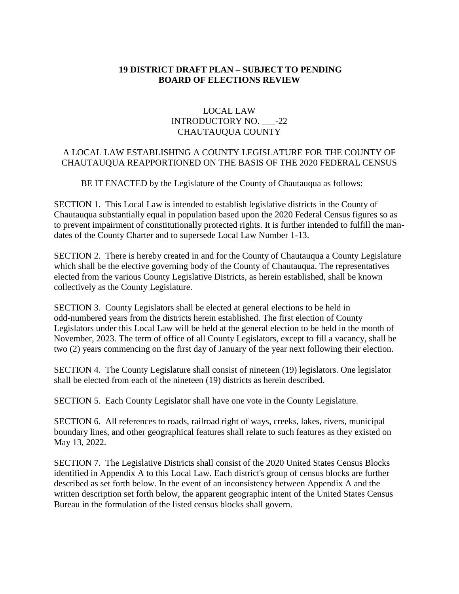## **19 DISTRICT DRAFT PLAN – SUBJECT TO PENDING BOARD OF ELECTIONS REVIEW**

## LOCAL LAW INTRODUCTORY NO. -22 CHAUTAUQUA COUNTY

## A LOCAL LAW ESTABLISHING A COUNTY LEGISLATURE FOR THE COUNTY OF CHAUTAUQUA REAPPORTIONED ON THE BASIS OF THE 2020 FEDERAL CENSUS

BE IT ENACTED by the Legislature of the County of Chautauqua as follows:

SECTION 1. This Local Law is intended to establish legislative districts in the County of Chautauqua substantially equal in population based upon the 2020 Federal Census figures so as to prevent impairment of constitutionally protected rights. It is further intended to fulfill the mandates of the County Charter and to supersede Local Law Number 1-13.

SECTION 2. There is hereby created in and for the County of Chautauqua a County Legislature which shall be the elective governing body of the County of Chautauqua. The representatives elected from the various County Legislative Districts, as herein established, shall be known collectively as the County Legislature.

SECTION 3. County Legislators shall be elected at general elections to be held in odd-numbered years from the districts herein established. The first election of County Legislators under this Local Law will be held at the general election to be held in the month of November, 2023. The term of office of all County Legislators, except to fill a vacancy, shall be two (2) years commencing on the first day of January of the year next following their election.

SECTION 4. The County Legislature shall consist of nineteen (19) legislators. One legislator shall be elected from each of the nineteen (19) districts as herein described.

SECTION 5. Each County Legislator shall have one vote in the County Legislature.

SECTION 6. All references to roads, railroad right of ways, creeks, lakes, rivers, municipal boundary lines, and other geographical features shall relate to such features as they existed on May 13, 2022.

SECTION 7. The Legislative Districts shall consist of the 2020 United States Census Blocks identified in Appendix A to this Local Law. Each district's group of census blocks are further described as set forth below. In the event of an inconsistency between Appendix A and the written description set forth below, the apparent geographic intent of the United States Census Bureau in the formulation of the listed census blocks shall govern.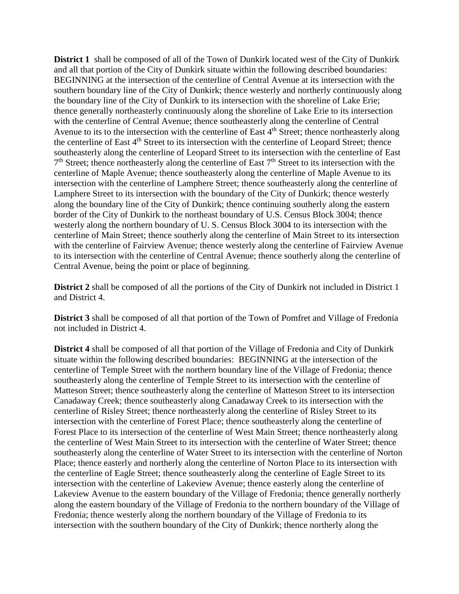**District 1** shall be composed of all of the Town of Dunkirk located west of the City of Dunkirk and all that portion of the City of Dunkirk situate within the following described boundaries: BEGINNING at the intersection of the centerline of Central Avenue at its intersection with the southern boundary line of the City of Dunkirk; thence westerly and northerly continuously along the boundary line of the City of Dunkirk to its intersection with the shoreline of Lake Erie; thence generally northeasterly continuously along the shoreline of Lake Erie to its intersection with the centerline of Central Avenue; thence southeasterly along the centerline of Central Avenue to its to the intersection with the centerline of East  $4<sup>th</sup>$  Street; thence northeasterly along the centerline of East 4<sup>th</sup> Street to its intersection with the centerline of Leopard Street; thence southeasterly along the centerline of Leopard Street to its intersection with the centerline of East 7<sup>th</sup> Street; thence northeasterly along the centerline of East 7<sup>th</sup> Street to its intersection with the centerline of Maple Avenue; thence southeasterly along the centerline of Maple Avenue to its intersection with the centerline of Lamphere Street; thence southeasterly along the centerline of Lamphere Street to its intersection with the boundary of the City of Dunkirk; thence westerly along the boundary line of the City of Dunkirk; thence continuing southerly along the eastern border of the City of Dunkirk to the northeast boundary of U.S. Census Block 3004; thence westerly along the northern boundary of U. S. Census Block 3004 to its intersection with the centerline of Main Street; thence southerly along the centerline of Main Street to its intersection with the centerline of Fairview Avenue; thence westerly along the centerline of Fairview Avenue to its intersection with the centerline of Central Avenue; thence southerly along the centerline of Central Avenue, being the point or place of beginning.

**District 2** shall be composed of all the portions of the City of Dunkirk not included in District 1 and District 4.

**District 3** shall be composed of all that portion of the Town of Pomfret and Village of Fredonia not included in District 4.

**District 4** shall be composed of all that portion of the Village of Fredonia and City of Dunkirk situate within the following described boundaries: BEGINNING at the intersection of the centerline of Temple Street with the northern boundary line of the Village of Fredonia; thence southeasterly along the centerline of Temple Street to its intersection with the centerline of Matteson Street; thence southeasterly along the centerline of Matteson Street to its intersection Canadaway Creek; thence southeasterly along Canadaway Creek to its intersection with the centerline of Risley Street; thence northeasterly along the centerline of Risley Street to its intersection with the centerline of Forest Place; thence southeasterly along the centerline of Forest Place to its intersection of the centerline of West Main Street; thence northeasterly along the centerline of West Main Street to its intersection with the centerline of Water Street; thence southeasterly along the centerline of Water Street to its intersection with the centerline of Norton Place; thence easterly and northerly along the centerline of Norton Place to its intersection with the centerline of Eagle Street; thence southeasterly along the centerline of Eagle Street to its intersection with the centerline of Lakeview Avenue; thence easterly along the centerline of Lakeview Avenue to the eastern boundary of the Village of Fredonia; thence generally northerly along the eastern boundary of the Village of Fredonia to the northern boundary of the Village of Fredonia; thence westerly along the northern boundary of the Village of Fredonia to its intersection with the southern boundary of the City of Dunkirk; thence northerly along the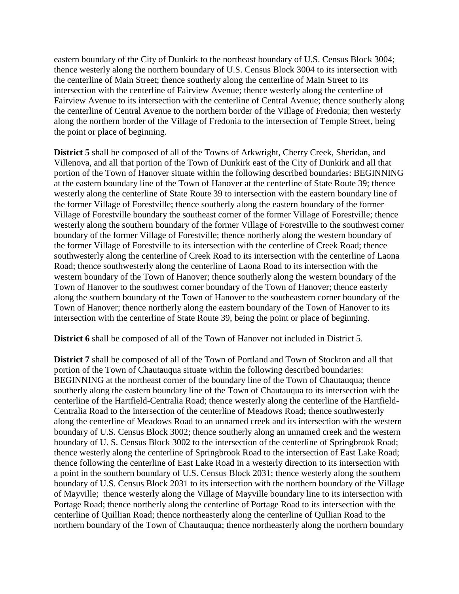eastern boundary of the City of Dunkirk to the northeast boundary of U.S. Census Block 3004; thence westerly along the northern boundary of U.S. Census Block 3004 to its intersection with the centerline of Main Street; thence southerly along the centerline of Main Street to its intersection with the centerline of Fairview Avenue; thence westerly along the centerline of Fairview Avenue to its intersection with the centerline of Central Avenue; thence southerly along the centerline of Central Avenue to the northern border of the Village of Fredonia; then westerly along the northern border of the Village of Fredonia to the intersection of Temple Street, being the point or place of beginning.

**District 5** shall be composed of all of the Towns of Arkwright, Cherry Creek, Sheridan, and Villenova, and all that portion of the Town of Dunkirk east of the City of Dunkirk and all that portion of the Town of Hanover situate within the following described boundaries: BEGINNING at the eastern boundary line of the Town of Hanover at the centerline of State Route 39; thence westerly along the centerline of State Route 39 to intersection with the eastern boundary line of the former Village of Forestville; thence southerly along the eastern boundary of the former Village of Forestville boundary the southeast corner of the former Village of Forestville; thence westerly along the southern boundary of the former Village of Forestville to the southwest corner boundary of the former Village of Forestville; thence northerly along the western boundary of the former Village of Forestville to its intersection with the centerline of Creek Road; thence southwesterly along the centerline of Creek Road to its intersection with the centerline of Laona Road; thence southwesterly along the centerline of Laona Road to its intersection with the western boundary of the Town of Hanover; thence southerly along the western boundary of the Town of Hanover to the southwest corner boundary of the Town of Hanover; thence easterly along the southern boundary of the Town of Hanover to the southeastern corner boundary of the Town of Hanover; thence northerly along the eastern boundary of the Town of Hanover to its intersection with the centerline of State Route 39, being the point or place of beginning.

**District 6** shall be composed of all of the Town of Hanover not included in District 5.

**District 7** shall be composed of all of the Town of Portland and Town of Stockton and all that portion of the Town of Chautauqua situate within the following described boundaries: BEGINNING at the northeast corner of the boundary line of the Town of Chautauqua; thence southerly along the eastern boundary line of the Town of Chautauqua to its intersection with the centerline of the Hartfield-Centralia Road; thence westerly along the centerline of the Hartfield-Centralia Road to the intersection of the centerline of Meadows Road; thence southwesterly along the centerline of Meadows Road to an unnamed creek and its intersection with the western boundary of U.S. Census Block 3002; thence southerly along an unnamed creek and the western boundary of U. S. Census Block 3002 to the intersection of the centerline of Springbrook Road; thence westerly along the centerline of Springbrook Road to the intersection of East Lake Road; thence following the centerline of East Lake Road in a westerly direction to its intersection with a point in the southern boundary of U.S. Census Block 2031; thence westerly along the southern boundary of U.S. Census Block 2031 to its intersection with the northern boundary of the Village of Mayville; thence westerly along the Village of Mayville boundary line to its intersection with Portage Road; thence northerly along the centerline of Portage Road to its intersection with the centerline of Quillian Road; thence northeasterly along the centerline of Qullian Road to the northern boundary of the Town of Chautauqua; thence northeasterly along the northern boundary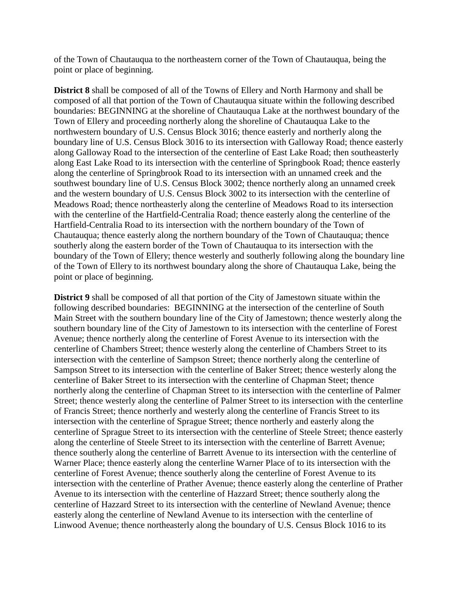of the Town of Chautauqua to the northeastern corner of the Town of Chautauqua, being the point or place of beginning.

**District 8** shall be composed of all of the Towns of Ellery and North Harmony and shall be composed of all that portion of the Town of Chautauqua situate within the following described boundaries: BEGINNING at the shoreline of Chautauqua Lake at the northwest boundary of the Town of Ellery and proceeding northerly along the shoreline of Chautauqua Lake to the northwestern boundary of U.S. Census Block 3016; thence easterly and northerly along the boundary line of U.S. Census Block 3016 to its intersection with Galloway Road; thence easterly along Galloway Road to the intersection of the centerline of East Lake Road; then southeasterly along East Lake Road to its intersection with the centerline of Springbook Road; thence easterly along the centerline of Springbrook Road to its intersection with an unnamed creek and the southwest boundary line of U.S. Census Block 3002; thence northerly along an unnamed creek and the western boundary of U.S. Census Block 3002 to its intersection with the centerline of Meadows Road; thence northeasterly along the centerline of Meadows Road to its intersection with the centerline of the Hartfield-Centralia Road; thence easterly along the centerline of the Hartfield-Centralia Road to its intersection with the northern boundary of the Town of Chautauqua; thence easterly along the northern boundary of the Town of Chautauqua; thence southerly along the eastern border of the Town of Chautauqua to its intersection with the boundary of the Town of Ellery; thence westerly and southerly following along the boundary line of the Town of Ellery to its northwest boundary along the shore of Chautauqua Lake, being the point or place of beginning.

**District 9** shall be composed of all that portion of the City of Jamestown situate within the following described boundaries: BEGINNING at the intersection of the centerline of South Main Street with the southern boundary line of the City of Jamestown; thence westerly along the southern boundary line of the City of Jamestown to its intersection with the centerline of Forest Avenue; thence northerly along the centerline of Forest Avenue to its intersection with the centerline of Chambers Street; thence westerly along the centerline of Chambers Street to its intersection with the centerline of Sampson Street; thence northerly along the centerline of Sampson Street to its intersection with the centerline of Baker Street; thence westerly along the centerline of Baker Street to its intersection with the centerline of Chapman Steet; thence northerly along the centerline of Chapman Street to its intersection with the centerline of Palmer Street; thence westerly along the centerline of Palmer Street to its intersection with the centerline of Francis Street; thence northerly and westerly along the centerline of Francis Street to its intersection with the centerline of Sprague Street; thence northerly and easterly along the centerline of Sprague Street to its intersection with the centerline of Steele Street; thence easterly along the centerline of Steele Street to its intersection with the centerline of Barrett Avenue; thence southerly along the centerline of Barrett Avenue to its intersection with the centerline of Warner Place; thence easterly along the centerline Warner Place of to its intersection with the centerline of Forest Avenue; thence southerly along the centerline of Forest Avenue to its intersection with the centerline of Prather Avenue; thence easterly along the centerline of Prather Avenue to its intersection with the centerline of Hazzard Street; thence southerly along the centerline of Hazzard Street to its intersection with the centerline of Newland Avenue; thence easterly along the centerline of Newland Avenue to its intersection with the centerline of Linwood Avenue; thence northeasterly along the boundary of U.S. Census Block 1016 to its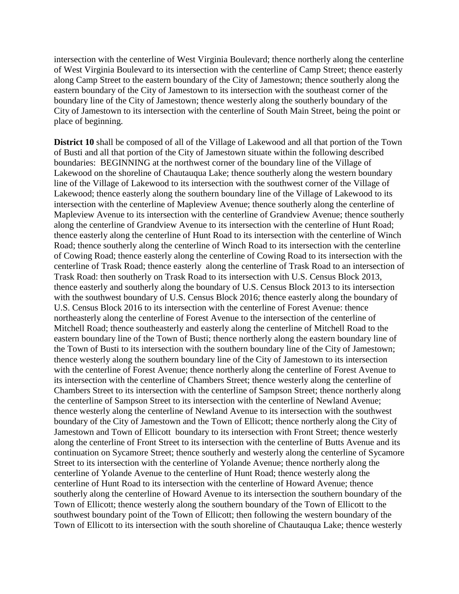intersection with the centerline of West Virginia Boulevard; thence northerly along the centerline of West Virginia Boulevard to its intersection with the centerline of Camp Street; thence easterly along Camp Street to the eastern boundary of the City of Jamestown; thence southerly along the eastern boundary of the City of Jamestown to its intersection with the southeast corner of the boundary line of the City of Jamestown; thence westerly along the southerly boundary of the City of Jamestown to its intersection with the centerline of South Main Street, being the point or place of beginning.

**District 10** shall be composed of all of the Village of Lakewood and all that portion of the Town of Busti and all that portion of the City of Jamestown situate within the following described boundaries: BEGINNING at the northwest corner of the boundary line of the Village of Lakewood on the shoreline of Chautauqua Lake; thence southerly along the western boundary line of the Village of Lakewood to its intersection with the southwest corner of the Village of Lakewood; thence easterly along the southern boundary line of the Village of Lakewood to its intersection with the centerline of Mapleview Avenue; thence southerly along the centerline of Mapleview Avenue to its intersection with the centerline of Grandview Avenue; thence southerly along the centerline of Grandview Avenue to its intersection with the centerline of Hunt Road; thence easterly along the centerline of Hunt Road to its intersection with the centerline of Winch Road; thence southerly along the centerline of Winch Road to its intersection with the centerline of Cowing Road; thence easterly along the centerline of Cowing Road to its intersection with the centerline of Trask Road; thence easterly along the centerline of Trask Road to an intersection of Trask Road: then southerly on Trask Road to its intersection with U.S. Census Block 2013, thence easterly and southerly along the boundary of U.S. Census Block 2013 to its intersection with the southwest boundary of U.S. Census Block 2016; thence easterly along the boundary of U.S. Census Block 2016 to its intersection with the centerline of Forest Avenue: thence northeasterly along the centerline of Forest Avenue to the intersection of the centerline of Mitchell Road; thence southeasterly and easterly along the centerline of Mitchell Road to the eastern boundary line of the Town of Busti; thence northerly along the eastern boundary line of the Town of Busti to its intersection with the southern boundary line of the City of Jamestown; thence westerly along the southern boundary line of the City of Jamestown to its intersection with the centerline of Forest Avenue; thence northerly along the centerline of Forest Avenue to its intersection with the centerline of Chambers Street; thence westerly along the centerline of Chambers Street to its intersection with the centerline of Sampson Street; thence northerly along the centerline of Sampson Street to its intersection with the centerline of Newland Avenue; thence westerly along the centerline of Newland Avenue to its intersection with the southwest boundary of the City of Jamestown and the Town of Ellicott; thence northerly along the City of Jamestown and Town of Ellicott boundary to its intersection with Front Street; thence westerly along the centerline of Front Street to its intersection with the centerline of Butts Avenue and its continuation on Sycamore Street; thence southerly and westerly along the centerline of Sycamore Street to its intersection with the centerline of Yolande Avenue; thence northerly along the centerline of Yolande Avenue to the centerline of Hunt Road; thence westerly along the centerline of Hunt Road to its intersection with the centerline of Howard Avenue; thence southerly along the centerline of Howard Avenue to its intersection the southern boundary of the Town of Ellicott; thence westerly along the southern boundary of the Town of Ellicott to the southwest boundary point of the Town of Ellicott; then following the western boundary of the Town of Ellicott to its intersection with the south shoreline of Chautauqua Lake; thence westerly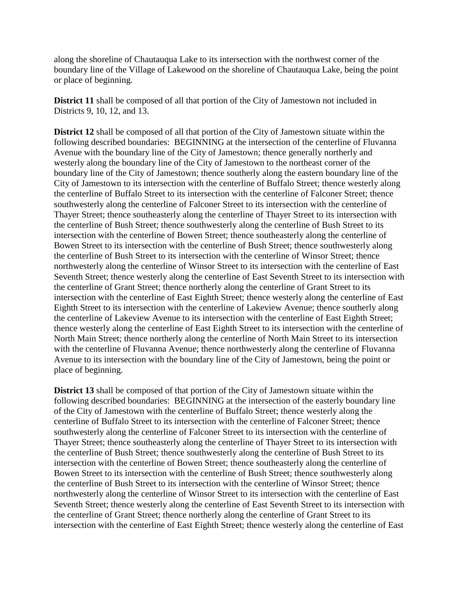along the shoreline of Chautauqua Lake to its intersection with the northwest corner of the boundary line of the Village of Lakewood on the shoreline of Chautauqua Lake, being the point or place of beginning.

**District 11** shall be composed of all that portion of the City of Jamestown not included in Districts 9, 10, 12, and 13.

**District 12** shall be composed of all that portion of the City of Jamestown situate within the following described boundaries: BEGINNING at the intersection of the centerline of Fluvanna Avenue with the boundary line of the City of Jamestown; thence generally northerly and westerly along the boundary line of the City of Jamestown to the northeast corner of the boundary line of the City of Jamestown; thence southerly along the eastern boundary line of the City of Jamestown to its intersection with the centerline of Buffalo Street; thence westerly along the centerline of Buffalo Street to its intersection with the centerline of Falconer Street; thence southwesterly along the centerline of Falconer Street to its intersection with the centerline of Thayer Street; thence southeasterly along the centerline of Thayer Street to its intersection with the centerline of Bush Street; thence southwesterly along the centerline of Bush Street to its intersection with the centerline of Bowen Street; thence southeasterly along the centerline of Bowen Street to its intersection with the centerline of Bush Street; thence southwesterly along the centerline of Bush Street to its intersection with the centerline of Winsor Street; thence northwesterly along the centerline of Winsor Street to its intersection with the centerline of East Seventh Street; thence westerly along the centerline of East Seventh Street to its intersection with the centerline of Grant Street; thence northerly along the centerline of Grant Street to its intersection with the centerline of East Eighth Street; thence westerly along the centerline of East Eighth Street to its intersection with the centerline of Lakeview Avenue; thence southerly along the centerline of Lakeview Avenue to its intersection with the centerline of East Eighth Street; thence westerly along the centerline of East Eighth Street to its intersection with the centerline of North Main Street; thence northerly along the centerline of North Main Street to its intersection with the centerline of Fluvanna Avenue; thence northwesterly along the centerline of Fluvanna Avenue to its intersection with the boundary line of the City of Jamestown, being the point or place of beginning.

**District 13** shall be composed of that portion of the City of Jamestown situate within the following described boundaries: BEGINNING at the intersection of the easterly boundary line of the City of Jamestown with the centerline of Buffalo Street; thence westerly along the centerline of Buffalo Street to its intersection with the centerline of Falconer Street; thence southwesterly along the centerline of Falconer Street to its intersection with the centerline of Thayer Street; thence southeasterly along the centerline of Thayer Street to its intersection with the centerline of Bush Street; thence southwesterly along the centerline of Bush Street to its intersection with the centerline of Bowen Street; thence southeasterly along the centerline of Bowen Street to its intersection with the centerline of Bush Street; thence southwesterly along the centerline of Bush Street to its intersection with the centerline of Winsor Street; thence northwesterly along the centerline of Winsor Street to its intersection with the centerline of East Seventh Street; thence westerly along the centerline of East Seventh Street to its intersection with the centerline of Grant Street; thence northerly along the centerline of Grant Street to its intersection with the centerline of East Eighth Street; thence westerly along the centerline of East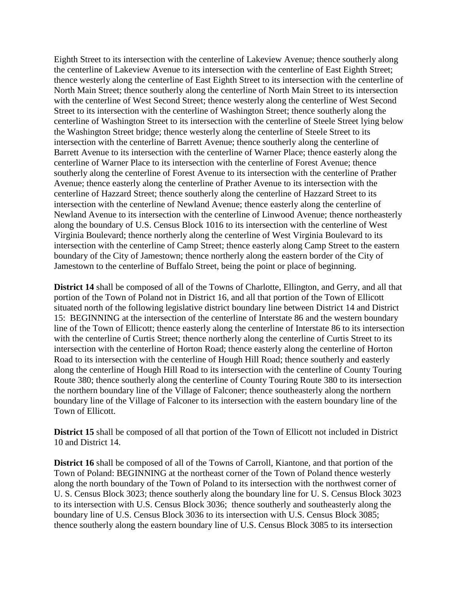Eighth Street to its intersection with the centerline of Lakeview Avenue; thence southerly along the centerline of Lakeview Avenue to its intersection with the centerline of East Eighth Street; thence westerly along the centerline of East Eighth Street to its intersection with the centerline of North Main Street; thence southerly along the centerline of North Main Street to its intersection with the centerline of West Second Street; thence westerly along the centerline of West Second Street to its intersection with the centerline of Washington Street; thence southerly along the centerline of Washington Street to its intersection with the centerline of Steele Street lying below the Washington Street bridge; thence westerly along the centerline of Steele Street to its intersection with the centerline of Barrett Avenue; thence southerly along the centerline of Barrett Avenue to its intersection with the centerline of Warner Place; thence easterly along the centerline of Warner Place to its intersection with the centerline of Forest Avenue; thence southerly along the centerline of Forest Avenue to its intersection with the centerline of Prather Avenue; thence easterly along the centerline of Prather Avenue to its intersection with the centerline of Hazzard Street; thence southerly along the centerline of Hazzard Street to its intersection with the centerline of Newland Avenue; thence easterly along the centerline of Newland Avenue to its intersection with the centerline of Linwood Avenue; thence northeasterly along the boundary of U.S. Census Block 1016 to its intersection with the centerline of West Virginia Boulevard; thence northerly along the centerline of West Virginia Boulevard to its intersection with the centerline of Camp Street; thence easterly along Camp Street to the eastern boundary of the City of Jamestown; thence northerly along the eastern border of the City of Jamestown to the centerline of Buffalo Street, being the point or place of beginning.

**District 14** shall be composed of all of the Towns of Charlotte, Ellington, and Gerry, and all that portion of the Town of Poland not in District 16, and all that portion of the Town of Ellicott situated north of the following legislative district boundary line between District 14 and District 15: BEGINNING at the intersection of the centerline of Interstate 86 and the western boundary line of the Town of Ellicott; thence easterly along the centerline of Interstate 86 to its intersection with the centerline of Curtis Street; thence northerly along the centerline of Curtis Street to its intersection with the centerline of Horton Road; thence easterly along the centerline of Horton Road to its intersection with the centerline of Hough Hill Road; thence southerly and easterly along the centerline of Hough Hill Road to its intersection with the centerline of County Touring Route 380; thence southerly along the centerline of County Touring Route 380 to its intersection the northern boundary line of the Village of Falconer; thence southeasterly along the northern boundary line of the Village of Falconer to its intersection with the eastern boundary line of the Town of Ellicott.

**District 15** shall be composed of all that portion of the Town of Ellicott not included in District 10 and District 14.

**District 16** shall be composed of all of the Towns of Carroll, Kiantone, and that portion of the Town of Poland: BEGINNING at the northeast corner of the Town of Poland thence westerly along the north boundary of the Town of Poland to its intersection with the northwest corner of U. S. Census Block 3023; thence southerly along the boundary line for U. S. Census Block 3023 to its intersection with U.S. Census Block 3036; thence southerly and southeasterly along the boundary line of U.S. Census Block 3036 to its intersection with U.S. Census Block 3085; thence southerly along the eastern boundary line of U.S. Census Block 3085 to its intersection